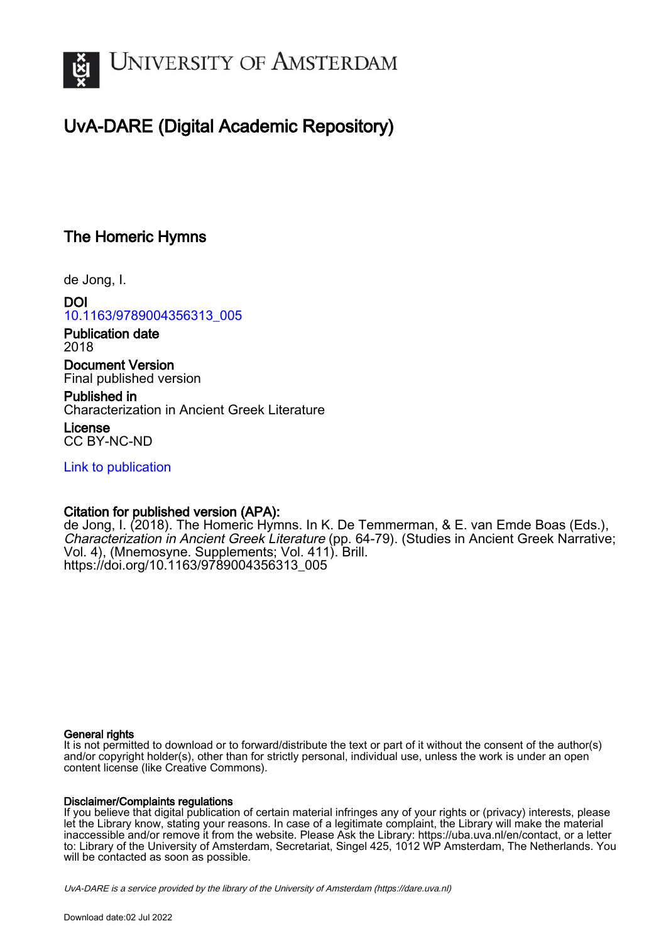

# UvA-DARE (Digital Academic Repository)

## The Homeric Hymns

de Jong, I.

DOI [10.1163/9789004356313\\_005](https://doi.org/10.1163/9789004356313_005)

Publication date 2018

Document Version Final published version

Published in Characterization in Ancient Greek Literature

License CC BY-NC-ND

[Link to publication](https://dare.uva.nl/personal/pure/en/publications/the-homeric-hymns(71f65942-0c45-4ed3-aa7b-514e57bddf3e).html)

### Citation for published version (APA):

de Jong, I. (2018). The Homeric Hymns. In K. De Temmerman, & E. van Emde Boas (Eds.), Characterization in Ancient Greek Literature (pp. 64-79). (Studies in Ancient Greek Narrative; Vol. 4), (Mnemosyne. Supplements; Vol. 411). Brill. [https://doi.org/10.1163/9789004356313\\_005](https://doi.org/10.1163/9789004356313_005)

### General rights

It is not permitted to download or to forward/distribute the text or part of it without the consent of the author(s) and/or copyright holder(s), other than for strictly personal, individual use, unless the work is under an open content license (like Creative Commons).

### Disclaimer/Complaints regulations

If you believe that digital publication of certain material infringes any of your rights or (privacy) interests, please let the Library know, stating your reasons. In case of a legitimate complaint, the Library will make the material inaccessible and/or remove it from the website. Please Ask the Library: https://uba.uva.nl/en/contact, or a letter to: Library of the University of Amsterdam, Secretariat, Singel 425, 1012 WP Amsterdam, The Netherlands. You will be contacted as soon as possible.

UvA-DARE is a service provided by the library of the University of Amsterdam (http*s*://dare.uva.nl)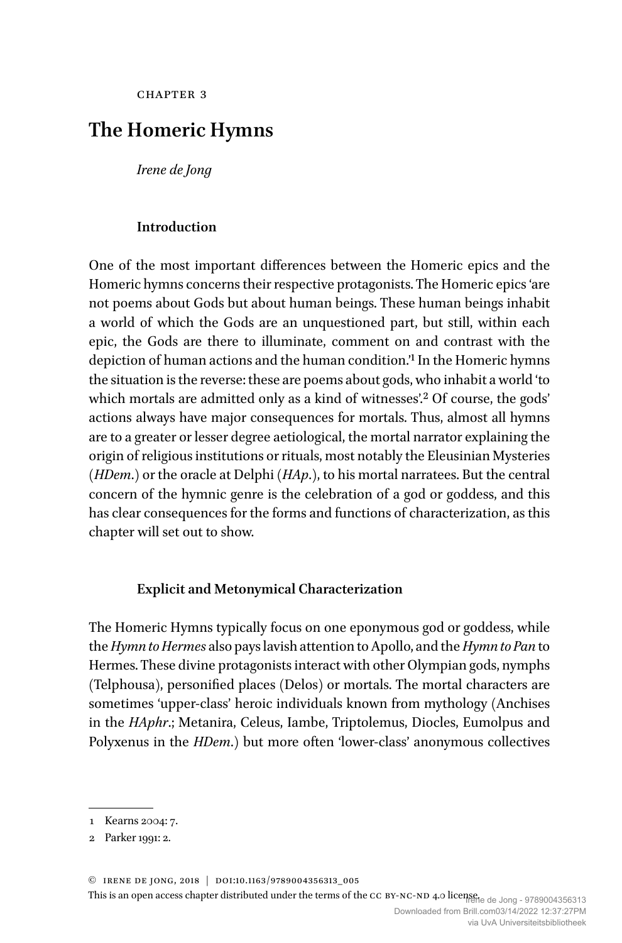**CHAPTER 3** 

### **The Homeric Hymns**

*Irene de Jong*

#### **Introduction**

One of the most important differences between the Homeric epics and the Homeric hymns concerns their respective protagonists. The Homeric epics 'are not poems about Gods but about human beings. These human beings inhabit a world of which the Gods are an unquestioned part, but still, within each epic, the Gods are there to illuminate, comment on and contrast with the depiction of human actions and the human condition.'1 In the Homeric hymns the situation is the reverse: these are poems about gods, who inhabit a world 'to which mortals are admitted only as a kind of witnesses'.<sup>2</sup> Of course, the gods' actions always have major consequences for mortals. Thus, almost all hymns are to a greater or lesser degree aetiological, the mortal narrator explaining the origin of religious institutions or rituals, most notably the Eleusinian Mysteries (*HDem*.) or the oracle at Delphi (*HAp*.), to his mortal narratees. But the central concern of the hymnic genre is the celebration of a god or goddess, and this has clear consequences for the forms and functions of characterization, as this chapter will set out to show.

#### **Explicit and Metonymical Characterization**

The Homeric Hymns typically focus on one eponymous god or goddess, while the *HymntoHermes* also pays lavish attention to Apollo, and the *Hymnto Pan* to Hermes. These divine protagonists interact with other Olympian gods, nymphs (Telphousa), personified places (Delos) or mortals. The mortal characters are sometimes 'upper-class' heroic individuals known from mythology (Anchises in the *HAphr*.; Metanira, Celeus, Iambe, Triptolemus, Diocles, Eumolpus and Polyxenus in the *HDem*.) but more often 'lower-class' anonymous collectives

© Irene de Jong, 2018 | doi:10.1163/9789004356313\_005

This is an open access chapter distributed under the terms of the CC BY-NC-ND 4.0 licen $_{\rm IET}^{\rm E}$ <sub>1ede</sub>. <sub>9789004356313</sub>

<sup>1</sup> Kearns 2004: 7.

<sup>2</sup> Parker 1991: 2.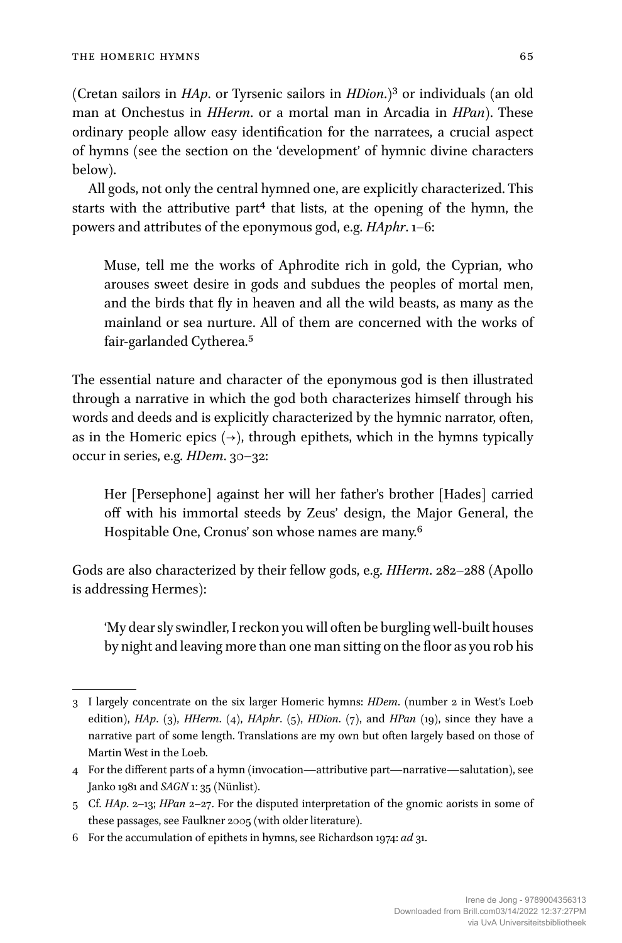(Cretan sailors in *HAp*. or Tyrsenic sailors in *HDion*.)3 or individuals (an old man at Onchestus in *HHerm*. or a mortal man in Arcadia in *HPan*). These ordinary people allow easy identification for the narratees, a crucial aspect of hymns (see the section on the 'development' of hymnic divine characters below).

All gods, not only the central hymned one, are explicitly characterized. This starts with the attributive part<sup>4</sup> that lists, at the opening of the hymn, the powers and attributes of the eponymous god, e.g. *HAphr*. 1–6:

Muse, tell me the works of Aphrodite rich in gold, the Cyprian, who arouses sweet desire in gods and subdues the peoples of mortal men, and the birds that fly in heaven and all the wild beasts, as many as the mainland or sea nurture. All of them are concerned with the works of fair-garlanded Cytherea.5

The essential nature and character of the eponymous god is then illustrated through a narrative in which the god both characterizes himself through his words and deeds and is explicitly characterized by the hymnic narrator, often, as in the Homeric epics  $( \rightarrow )$ , through epithets, which in the hymns typically occur in series, e.g. *HDem*. 30–32:

Her [Persephone] against her will her father's brother [Hades] carried off with his immortal steeds by Zeus' design, the Major General, the Hospitable One, Cronus' son whose names are many.6

Gods are also characterized by their fellow gods, e.g. *HHerm*. 282–288 (Apollo is addressing Hermes):

'My dear sly swindler, I reckon you will often be burgling well-built houses by night and leaving more than one man sitting on the floor as you rob his

<sup>3</sup> I largely concentrate on the six larger Homeric hymns: *HDem*. (number 2 in West's Loeb edition), *HAp*. (3), *HHerm*. (4), *HAphr*. (5), *HDion*. (7), and *HPan* (19), since they have a narrative part of some length. Translations are my own but often largely based on those of Martin West in the Loeb.

<sup>4</sup> For the different parts of a hymn (invocation—attributive part—narrative—salutation), see Janko 1981 and *SAGN* 1: 35 (Nünlist).

<sup>5</sup> Cf. *HAp*. 2–13; *HPan* 2–27. For the disputed interpretation of the gnomic aorists in some of these passages, see Faulkner 2005 (with older literature).

<sup>6</sup> For the accumulation of epithets in hymns, see Richardson 1974: *ad* 31.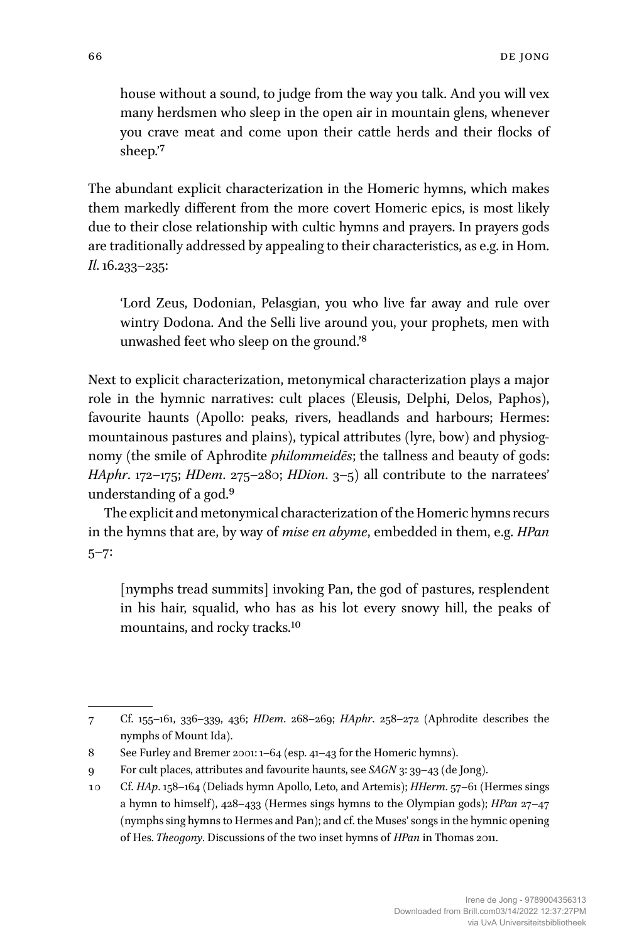house without a sound, to judge from the way you talk. And you will vex many herdsmen who sleep in the open air in mountain glens, whenever you crave meat and come upon their cattle herds and their flocks of sheep.'7

The abundant explicit characterization in the Homeric hymns, which makes them markedly different from the more covert Homeric epics, is most likely due to their close relationship with cultic hymns and prayers. In prayers gods are traditionally addressed by appealing to their characteristics, as e.g. in Hom. *Il*. 16.233–235:

'Lord Zeus, Dodonian, Pelasgian, you who live far away and rule over wintry Dodona. And the Selli live around you, your prophets, men with unwashed feet who sleep on the ground.'8

Next to explicit characterization, metonymical characterization plays a major role in the hymnic narratives: cult places (Eleusis, Delphi, Delos, Paphos), favourite haunts (Apollo: peaks, rivers, headlands and harbours; Hermes: mountainous pastures and plains), typical attributes (lyre, bow) and physiognomy (the smile of Aphrodite *philommeidēs*; the tallness and beauty of gods: *HAphr*. 172–175; *HDem*. 275–280; *HDion*. 3–5) all contribute to the narratees' understanding of a god.9

The explicit and metonymical characterization of the Homeric hymns recurs in the hymns that are, by way of *mise en abyme*, embedded in them, e.g. *HPan* 5–7:

[nymphs tread summits] invoking Pan, the god of pastures, resplendent in his hair, squalid, who has as his lot every snowy hill, the peaks of mountains, and rocky tracks.10

<sup>7</sup> Cf. 155–161, 336–339, 436; *HDem*. 268–269; *HAphr*. 258–272 (Aphrodite describes the nymphs of Mount Ida).

<sup>8</sup> See Furley and Bremer 2001: 1-64 (esp. 41-43 for the Homeric hymns).

<sup>9</sup> For cult places, attributes and favourite haunts, see *SAGN* 3: 39–43 (de Jong).

<sup>10</sup> Cf. *HAp*. 158–164 (Deliads hymn Apollo, Leto, and Artemis); *HHerm*. 57–61 (Hermes sings a hymn to himself), 428–433 (Hermes sings hymns to the Olympian gods); *HPan* 27–47 (nymphs sing hymns to Hermes and Pan); and cf. the Muses' songs in the hymnic opening of Hes. *Theogony*. Discussions of the two inset hymns of *HPan* in Thomas 2011.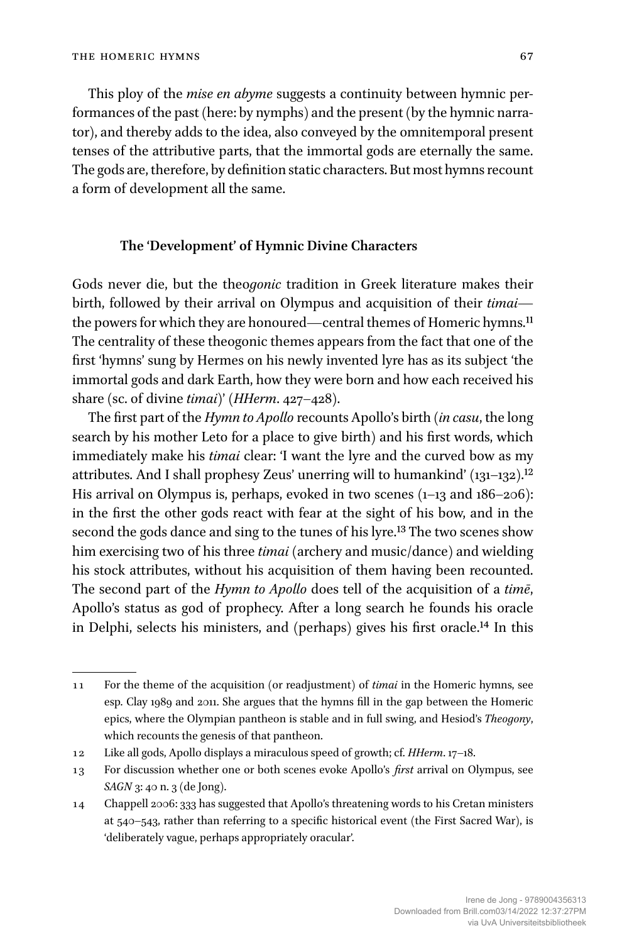This ploy of the *mise en abyme* suggests a continuity between hymnic performances of the past (here: by nymphs) and the present (by the hymnic narrator), and thereby adds to the idea, also conveyed by the omnitemporal present tenses of the attributive parts, that the immortal gods are eternally the same. The gods are, therefore, by definition static characters. But most hymns recount a form of development all the same.

#### **The 'Development' of Hymnic Divine Characters**

Gods never die, but the theo*gonic* tradition in Greek literature makes their birth, followed by their arrival on Olympus and acquisition of their *timai* the powers for which they are honoured—central themes of Homeric hymns.<sup>11</sup> The centrality of these theogonic themes appears from the fact that one of the first 'hymns' sung by Hermes on his newly invented lyre has as its subject 'the immortal gods and dark Earth, how they were born and how each received his share (sc. of divine *timai*)' (*HHerm*. 427–428).

The first part of the *Hymn to Apollo* recounts Apollo's birth (*in casu*, the long search by his mother Leto for a place to give birth) and his first words, which immediately make his *timai* clear: 'I want the lyre and the curved bow as my attributes. And I shall prophesy Zeus' unerring will to humankind' (131–132).12 His arrival on Olympus is, perhaps, evoked in two scenes (1–13 and 186–206): in the first the other gods react with fear at the sight of his bow, and in the second the gods dance and sing to the tunes of his lyre.<sup>13</sup> The two scenes show him exercising two of his three *timai* (archery and music/dance) and wielding his stock attributes, without his acquisition of them having been recounted. The second part of the *Hymn to Apollo* does tell of the acquisition of a *timē*, Apollo's status as god of prophecy. After a long search he founds his oracle in Delphi, selects his ministers, and (perhaps) gives his first oracle.14 In this

13 For discussion whether one or both scenes evoke Apollo's *first* arrival on Olympus, see *SAGN* 3: 40 n. 3 (de Jong).

<sup>11</sup> For the theme of the acquisition (or readjustment) of *timai* in the Homeric hymns, see esp. Clay 1989 and 2011. She argues that the hymns fill in the gap between the Homeric epics, where the Olympian pantheon is stable and in full swing, and Hesiod's *Theogony*, which recounts the genesis of that pantheon.

<sup>12</sup> Like all gods, Apollo displays a miraculous speed of growth; cf. *HHerm*. 17–18.

<sup>14</sup> Chappell 2006: 333 has suggested that Apollo's threatening words to his Cretan ministers at 540–543, rather than referring to a specific historical event (the First Sacred War), is 'deliberately vague, perhaps appropriately oracular'.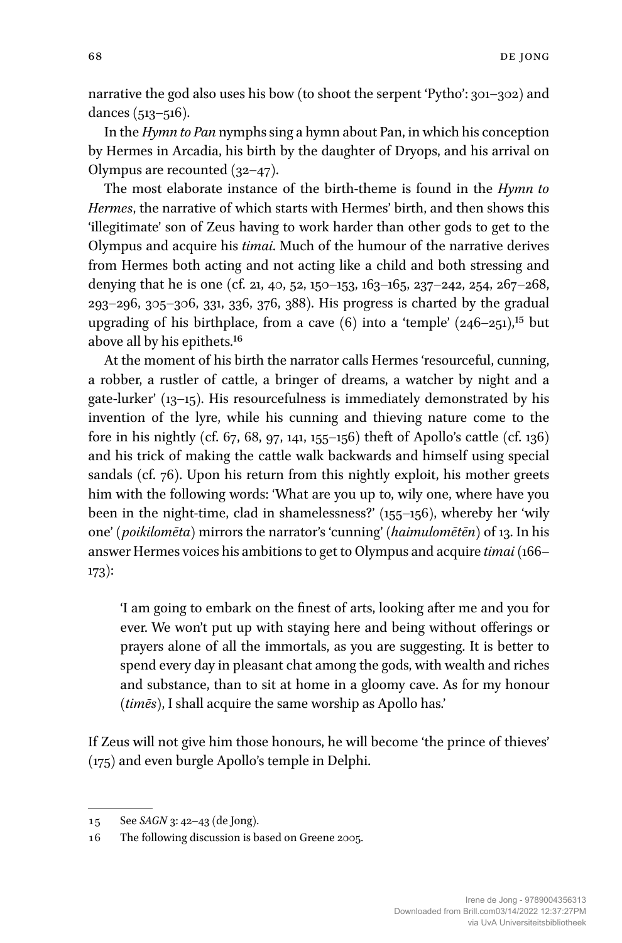narrative the god also uses his bow (to shoot the serpent 'Pytho': 301–302) and dances (513–516).

In the *Hymn to Pan* nymphs sing a hymn about Pan, in which his conception by Hermes in Arcadia, his birth by the daughter of Dryops, and his arrival on Olympus are recounted (32–47).

The most elaborate instance of the birth-theme is found in the *Hymn to Hermes*, the narrative of which starts with Hermes' birth, and then shows this 'illegitimate' son of Zeus having to work harder than other gods to get to the Olympus and acquire his *timai*. Much of the humour of the narrative derives from Hermes both acting and not acting like a child and both stressing and denying that he is one (cf. 21, 40, 52, 150–153, 163–165, 237–242, 254, 267–268, 293–296, 305–306, 331, 336, 376, 388). His progress is charted by the gradual upgrading of his birthplace, from a cave  $(6)$  into a 'temple'  $(246-251)^{15}$  but above all by his epithets.16

At the moment of his birth the narrator calls Hermes 'resourceful, cunning, a robber, a rustler of cattle, a bringer of dreams, a watcher by night and a gate-lurker' (13–15). His resourcefulness is immediately demonstrated by his invention of the lyre, while his cunning and thieving nature come to the fore in his nightly (cf. 67, 68, 97, 141, 155–156) theft of Apollo's cattle (cf. 136) and his trick of making the cattle walk backwards and himself using special sandals (cf. 76). Upon his return from this nightly exploit, his mother greets him with the following words: 'What are you up to, wily one, where have you been in the night-time, clad in shamelessness?' (155–156), whereby her 'wily one' (*poikilomēta*) mirrors the narrator's 'cunning' (*haimulomētēn*) of 13. In his answer Hermes voices his ambitions to get to Olympus and acquire *timai* (166– 173):

'I am going to embark on the finest of arts, looking after me and you for ever. We won't put up with staying here and being without offerings or prayers alone of all the immortals, as you are suggesting. It is better to spend every day in pleasant chat among the gods, with wealth and riches and substance, than to sit at home in a gloomy cave. As for my honour (*timēs*), I shall acquire the same worship as Apollo has.'

If Zeus will not give him those honours, he will become 'the prince of thieves' (175) and even burgle Apollo's temple in Delphi.

<sup>15</sup> See *SAGN* 3: 42–43 (de Jong).

<sup>16</sup> The following discussion is based on Greene 2005.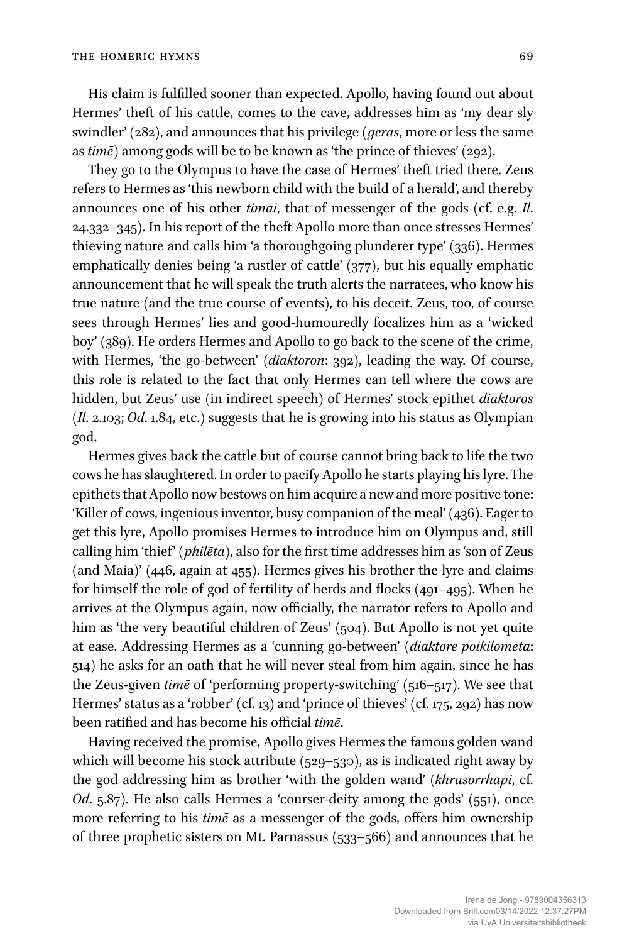His claim is fulfilled sooner than expected. Apollo, having found out about Hermes' theft of his cattle, comes to the cave, addresses him as 'my dear sly swindler' (282), and announces that his privilege (*geras*, more or less the same as *timē*) among gods will be to be known as 'the prince of thieves' (292).

They go to the Olympus to have the case of Hermes' theft tried there. Zeus refers to Hermes as 'this newborn child with the build of a herald', and thereby announces one of his other *timai*, that of messenger of the gods (cf. e.g. *Il*. 24.332–345). In his report of the theft Apollo more than once stresses Hermes' thieving nature and calls him 'a thoroughgoing plunderer type' (336). Hermes emphatically denies being 'a rustler of cattle' (377), but his equally emphatic announcement that he will speak the truth alerts the narratees, who know his true nature (and the true course of events), to his deceit. Zeus, too, of course sees through Hermes' lies and good-humouredly focalizes him as a 'wicked boy' (389). He orders Hermes and Apollo to go back to the scene of the crime, with Hermes, 'the go-between' (*diaktoron*: 392), leading the way. Of course, this role is related to the fact that only Hermes can tell where the cows are hidden, but Zeus' use (in indirect speech) of Hermes' stock epithet *diaktoros* (*Il*. 2.103; *Od*. 1.84, etc.) suggests that he is growing into his status as Olympian god.

Hermes gives back the cattle but of course cannot bring back to life the two cows he has slaughtered. In order to pacify Apollo he starts playing his lyre. The epithets that Apollo now bestows on him acquire a new and more positive tone: 'Killer of cows, ingenious inventor, busy companion of the meal' (436). Eager to get this lyre, Apollo promises Hermes to introduce him on Olympus and, still calling him 'thief' (*philēta*), also for the first time addresses him as 'son of Zeus (and Maia)' (446, again at 455). Hermes gives his brother the lyre and claims for himself the role of god of fertility of herds and flocks (491–495). When he arrives at the Olympus again, now officially, the narrator refers to Apollo and him as 'the very beautiful children of Zeus' (504). But Apollo is not yet quite at ease. Addressing Hermes as a 'cunning go-between' (*diaktore poikilomēta*: 514) he asks for an oath that he will never steal from him again, since he has the Zeus-given *timē* of 'performing property-switching' (516–517). We see that Hermes' status as a 'robber' (cf. 13) and 'prince of thieves' (cf. 175, 292) has now been ratified and has become his official *timē*.

Having received the promise, Apollo gives Hermes the famous golden wand which will become his stock attribute (529-530), as is indicated right away by the god addressing him as brother 'with the golden wand' (*khrusorrhapi*, cf. *Od*. 5.87). He also calls Hermes a 'courser-deity among the gods' (551), once more referring to his *timē* as a messenger of the gods, offers him ownership of three prophetic sisters on Mt. Parnassus (533–566) and announces that he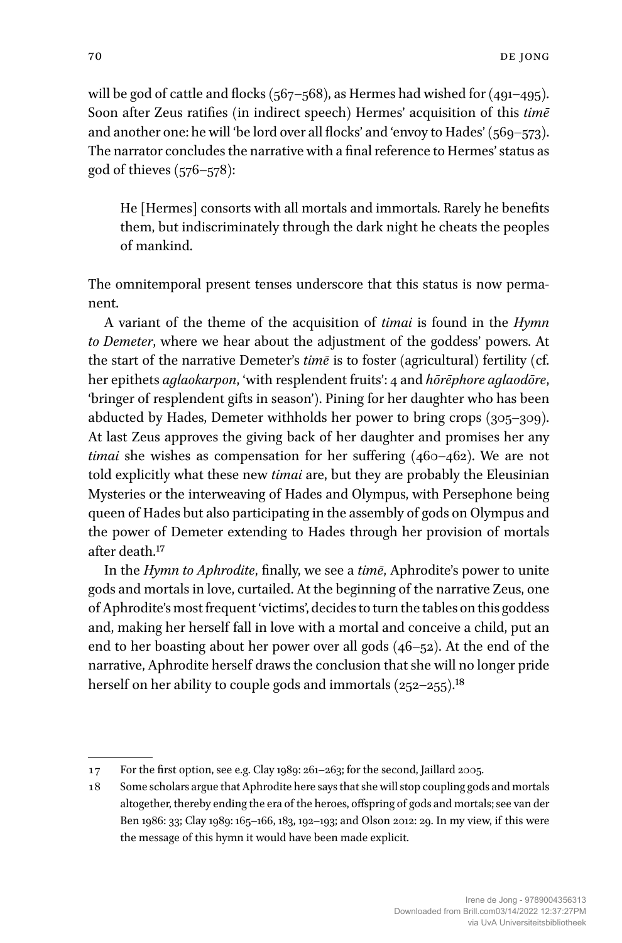will be god of cattle and flocks (567–568), as Hermes had wished for (491–495). Soon after Zeus ratifies (in indirect speech) Hermes' acquisition of this *timē* and another one: he will 'be lord over all flocks' and 'envoy to Hades' (569–573). The narrator concludes the narrative with a final reference to Hermes' status as god of thieves (576–578):

He [Hermes] consorts with all mortals and immortals. Rarely he benefits them, but indiscriminately through the dark night he cheats the peoples of mankind.

The omnitemporal present tenses underscore that this status is now permanent.

A variant of the theme of the acquisition of *timai* is found in the *Hymn to Demeter*, where we hear about the adjustment of the goddess' powers. At the start of the narrative Demeter's *timē* is to foster (agricultural) fertility (cf. her epithets *aglaokarpon*, 'with resplendent fruits': 4 and *hōrēphore aglaodōre*, 'bringer of resplendent gifts in season'). Pining for her daughter who has been abducted by Hades, Demeter withholds her power to bring crops (305–309). At last Zeus approves the giving back of her daughter and promises her any *timai* she wishes as compensation for her suffering (460–462). We are not told explicitly what these new *timai* are, but they are probably the Eleusinian Mysteries or the interweaving of Hades and Olympus, with Persephone being queen of Hades but also participating in the assembly of gods on Olympus and the power of Demeter extending to Hades through her provision of mortals after death.17

In the *Hymn to Aphrodite*, finally, we see a *timē*, Aphrodite's power to unite gods and mortals in love, curtailed. At the beginning of the narrative Zeus, one of Aphrodite's most frequent 'victims', decides to turn the tables on this goddess and, making her herself fall in love with a mortal and conceive a child, put an end to her boasting about her power over all gods (46–52). At the end of the narrative, Aphrodite herself draws the conclusion that she will no longer pride herself on her ability to couple gods and immortals  $(252-255)$ .<sup>18</sup>

<sup>17</sup> For the first option, see e.g. Clay 1989: 261–263; for the second, Jaillard 2005.

<sup>18</sup> Some scholars argue that Aphrodite here says that she will stop coupling gods and mortals altogether, thereby ending the era of the heroes, offspring of gods and mortals; see van der Ben 1986: 33; Clay 1989: 165–166, 183, 192–193; and Olson 2012: 29. In my view, if this were the message of this hymn it would have been made explicit.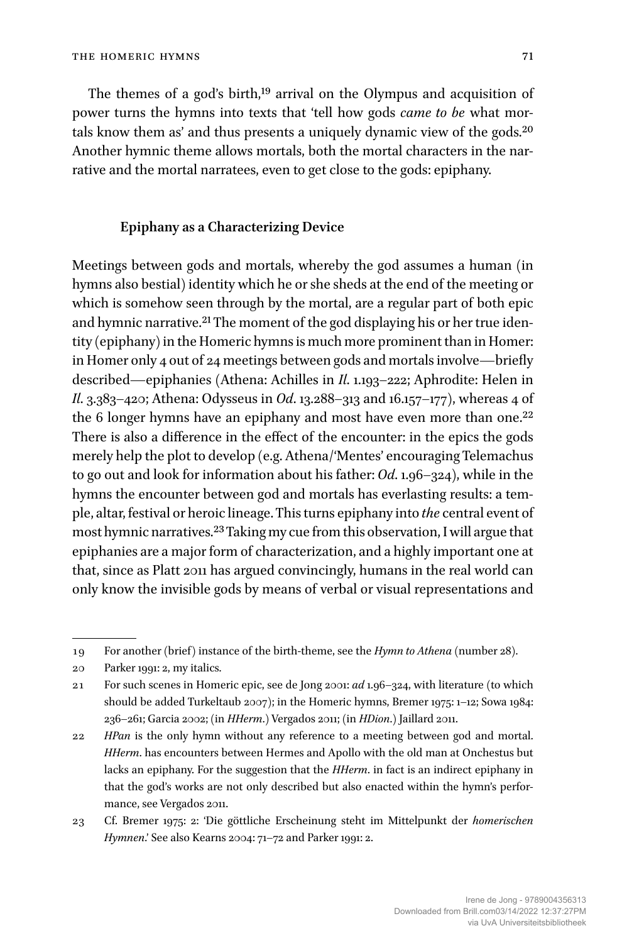The themes of a god's birth,<sup>19</sup> arrival on the Olympus and acquisition of power turns the hymns into texts that 'tell how gods *came to be* what mortals know them as' and thus presents a uniquely dynamic view of the gods.<sup>20</sup> Another hymnic theme allows mortals, both the mortal characters in the narrative and the mortal narratees, even to get close to the gods: epiphany.

#### **Epiphany as a Characterizing Device**

Meetings between gods and mortals, whereby the god assumes a human (in hymns also bestial) identity which he or she sheds at the end of the meeting or which is somehow seen through by the mortal, are a regular part of both epic and hymnic narrative.<sup>21</sup> The moment of the god displaying his or her true identity (epiphany) in the Homeric hymns is much more prominent than in Homer: in Homer only 4 out of 24 meetings between gods and mortals involve—briefly described—epiphanies (Athena: Achilles in *Il*. 1.193–222; Aphrodite: Helen in *Il*. 3.383–420; Athena: Odysseus in *Od*. 13.288–313 and 16.157–177), whereas 4 of the 6 longer hymns have an epiphany and most have even more than one.<sup>22</sup> There is also a difference in the effect of the encounter: in the epics the gods merely help the plot to develop (e.g. Athena/'Mentes' encouraging Telemachus to go out and look for information about his father: *Od*. 1.96–324), while in the hymns the encounter between god and mortals has everlasting results: a temple, altar, festival or heroic lineage. This turns epiphany into *the* central event of most hymnic narratives.<sup>23</sup> Taking my cue from this observation, I will argue that epiphanies are a major form of characterization, and a highly important one at that, since as Platt 2011 has argued convincingly, humans in the real world can only know the invisible gods by means of verbal or visual representations and

<sup>19</sup> For another (brief) instance of the birth-theme, see the *Hymn to Athena* (number 28).

<sup>20</sup> Parker 1991: 2, my italics.

<sup>21</sup> For such scenes in Homeric epic, see de Jong 2001: *ad* 1.96–324, with literature (to which should be added Turkeltaub 2007); in the Homeric hymns, Bremer 1975: 1–12; Sowa 1984: 236–261; Garcia 2002; (in *HHerm*.) Vergados 2011; (in *HDion*.) Jaillard 2011.

<sup>22</sup> *HPan* is the only hymn without any reference to a meeting between god and mortal. *HHerm*. has encounters between Hermes and Apollo with the old man at Onchestus but lacks an epiphany. For the suggestion that the *HHerm*. in fact is an indirect epiphany in that the god's works are not only described but also enacted within the hymn's performance, see Vergados 2011.

<sup>23</sup> Cf. Bremer 1975: 2: 'Die göttliche Erscheinung steht im Mittelpunkt der *homerischen Hymnen*.' See also Kearns 2004: 71–72 and Parker 1991: 2.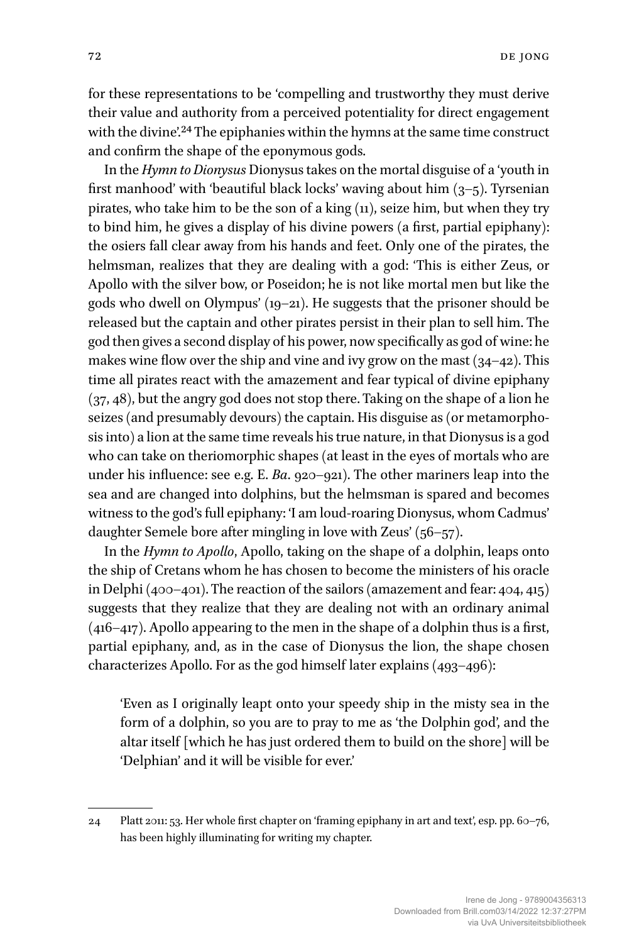for these representations to be 'compelling and trustworthy they must derive their value and authority from a perceived potentiality for direct engagement with the divine'.<sup>24</sup> The epiphanies within the hymns at the same time construct and confirm the shape of the eponymous gods.

In the *Hymn to Dionysus* Dionysus takes on the mortal disguise of a 'youth in first manhood' with 'beautiful black locks' waving about him  $(3-5)$ . Tyrsenian pirates, who take him to be the son of a king (11), seize him, but when they try to bind him, he gives a display of his divine powers (a first, partial epiphany): the osiers fall clear away from his hands and feet. Only one of the pirates, the helmsman, realizes that they are dealing with a god: 'This is either Zeus, or Apollo with the silver bow, or Poseidon; he is not like mortal men but like the gods who dwell on Olympus' (19–21). He suggests that the prisoner should be released but the captain and other pirates persist in their plan to sell him. The god then gives a second display of his power, now specifically as god of wine: he makes wine flow over the ship and vine and ivy grow on the mast  $(34-42)$ . This time all pirates react with the amazement and fear typical of divine epiphany (37, 48), but the angry god does not stop there. Taking on the shape of a lion he seizes (and presumably devours) the captain. His disguise as (or metamorphosis into) a lion at the same time reveals his true nature, in that Dionysus is a god who can take on theriomorphic shapes (at least in the eyes of mortals who are under his influence: see e.g. E. *Ba*. 920–921). The other mariners leap into the sea and are changed into dolphins, but the helmsman is spared and becomes witness to the god's full epiphany: 'I am loud-roaring Dionysus, whom Cadmus' daughter Semele bore after mingling in love with Zeus' (56–57).

In the *Hymn to Apollo*, Apollo, taking on the shape of a dolphin, leaps onto the ship of Cretans whom he has chosen to become the ministers of his oracle in Delphi (400–401). The reaction of the sailors (amazement and fear: 404, 415) suggests that they realize that they are dealing not with an ordinary animal (416–417). Apollo appearing to the men in the shape of a dolphin thus is a first, partial epiphany, and, as in the case of Dionysus the lion, the shape chosen characterizes Apollo. For as the god himself later explains (493–496):

'Even as I originally leapt onto your speedy ship in the misty sea in the form of a dolphin, so you are to pray to me as 'the Dolphin god', and the altar itself [which he has just ordered them to build on the shore] will be 'Delphian' and it will be visible for ever.'

<sup>24</sup> Platt 2011: 53. Her whole first chapter on 'framing epiphany in art and text', esp. pp. 60–76, has been highly illuminating for writing my chapter.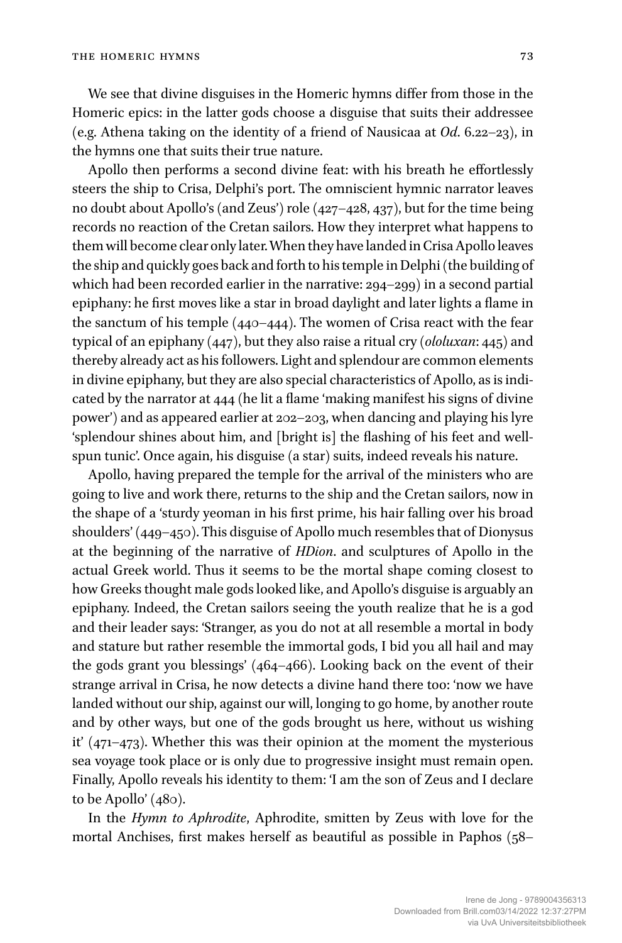We see that divine disguises in the Homeric hymns differ from those in the Homeric epics: in the latter gods choose a disguise that suits their addressee (e.g. Athena taking on the identity of a friend of Nausicaa at *Od*. 6.22–23), in the hymns one that suits their true nature.

Apollo then performs a second divine feat: with his breath he effortlessly steers the ship to Crisa, Delphi's port. The omniscient hymnic narrator leaves no doubt about Apollo's (and Zeus') role (427–428, 437), but for the time being records no reaction of the Cretan sailors. How they interpret what happens to them will become clear only later.When they have landed in Crisa Apollo leaves the ship and quickly goes back and forth to his temple in Delphi (the building of which had been recorded earlier in the narrative: 294–299) in a second partial epiphany: he first moves like a star in broad daylight and later lights a flame in the sanctum of his temple (440–444). The women of Crisa react with the fear typical of an epiphany (447), but they also raise a ritual cry (*ololuxan*: 445) and thereby already act as his followers. Light and splendour are common elements in divine epiphany, but they are also special characteristics of Apollo, as is indicated by the narrator at 444 (he lit a flame 'making manifest his signs of divine power') and as appeared earlier at 202–203, when dancing and playing his lyre 'splendour shines about him, and [bright is] the flashing of his feet and wellspun tunic'. Once again, his disguise (a star) suits, indeed reveals his nature.

Apollo, having prepared the temple for the arrival of the ministers who are going to live and work there, returns to the ship and the Cretan sailors, now in the shape of a 'sturdy yeoman in his first prime, his hair falling over his broad shoulders' (449–450). This disguise of Apollo much resembles that of Dionysus at the beginning of the narrative of *HDion*. and sculptures of Apollo in the actual Greek world. Thus it seems to be the mortal shape coming closest to how Greeks thought male gods looked like, and Apollo's disguise is arguably an epiphany. Indeed, the Cretan sailors seeing the youth realize that he is a god and their leader says: 'Stranger, as you do not at all resemble a mortal in body and stature but rather resemble the immortal gods, I bid you all hail and may the gods grant you blessings' (464–466). Looking back on the event of their strange arrival in Crisa, he now detects a divine hand there too: 'now we have landed without our ship, against our will, longing to go home, by another route and by other ways, but one of the gods brought us here, without us wishing it' (471–473). Whether this was their opinion at the moment the mysterious sea voyage took place or is only due to progressive insight must remain open. Finally, Apollo reveals his identity to them: 'I am the son of Zeus and I declare to be Apollo' (480).

In the *Hymn to Aphrodite*, Aphrodite, smitten by Zeus with love for the mortal Anchises, first makes herself as beautiful as possible in Paphos (58–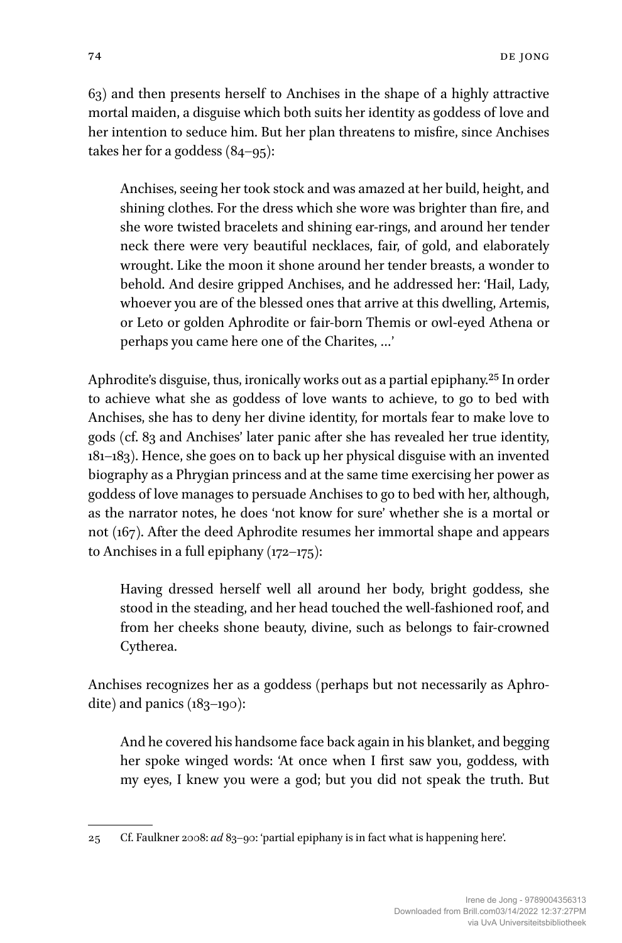63) and then presents herself to Anchises in the shape of a highly attractive mortal maiden, a disguise which both suits her identity as goddess of love and her intention to seduce him. But her plan threatens to misfire, since Anchises takes her for a goddess (84–95):

Anchises, seeing her took stock and was amazed at her build, height, and shining clothes. For the dress which she wore was brighter than fire, and she wore twisted bracelets and shining ear-rings, and around her tender neck there were very beautiful necklaces, fair, of gold, and elaborately wrought. Like the moon it shone around her tender breasts, a wonder to behold. And desire gripped Anchises, and he addressed her: 'Hail, Lady, whoever you are of the blessed ones that arrive at this dwelling, Artemis, or Leto or golden Aphrodite or fair-born Themis or owl-eyed Athena or perhaps you came here one of the Charites, …'

Aphrodite's disguise, thus, ironically works out as a partial epiphany.25 In order to achieve what she as goddess of love wants to achieve, to go to bed with Anchises, she has to deny her divine identity, for mortals fear to make love to gods (cf. 83 and Anchises' later panic after she has revealed her true identity, 181–183). Hence, she goes on to back up her physical disguise with an invented biography as a Phrygian princess and at the same time exercising her power as goddess of love manages to persuade Anchises to go to bed with her, although, as the narrator notes, he does 'not know for sure' whether she is a mortal or not (167). After the deed Aphrodite resumes her immortal shape and appears to Anchises in a full epiphany (172–175):

Having dressed herself well all around her body, bright goddess, she stood in the steading, and her head touched the well-fashioned roof, and from her cheeks shone beauty, divine, such as belongs to fair-crowned Cytherea.

Anchises recognizes her as a goddess (perhaps but not necessarily as Aphrodite) and panics  $(183-190)$ :

And he covered his handsome face back again in his blanket, and begging her spoke winged words: 'At once when I first saw you, goddess, with my eyes, I knew you were a god; but you did not speak the truth. But

<sup>25</sup> Cf. Faulkner 2008: *ad* 83–90: 'partial epiphany is in fact what is happening here'.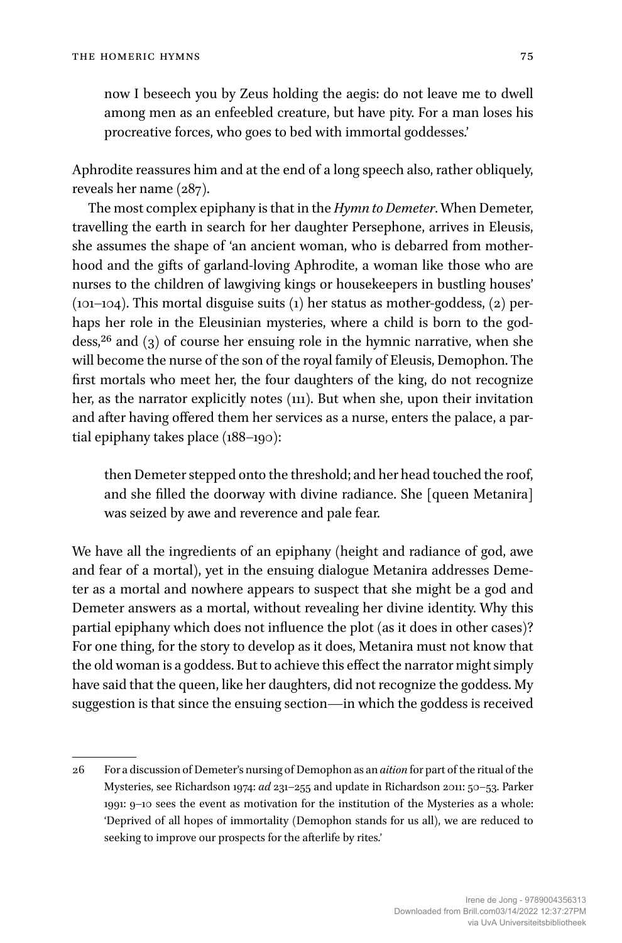now I beseech you by Zeus holding the aegis: do not leave me to dwell among men as an enfeebled creature, but have pity. For a man loses his procreative forces, who goes to bed with immortal goddesses.'

Aphrodite reassures him and at the end of a long speech also, rather obliquely, reveals her name (287).

The most complex epiphany is that in the *Hymn to Demeter*. When Demeter, travelling the earth in search for her daughter Persephone, arrives in Eleusis, she assumes the shape of 'an ancient woman, who is debarred from motherhood and the gifts of garland-loving Aphrodite, a woman like those who are nurses to the children of lawgiving kings or housekeepers in bustling houses' (101–104). This mortal disguise suits (1) her status as mother-goddess, (2) perhaps her role in the Eleusinian mysteries, where a child is born to the goddess,<sup>26</sup> and  $(3)$  of course her ensuing role in the hymnic narrative, when she will become the nurse of the son of the royal family of Eleusis, Demophon. The first mortals who meet her, the four daughters of the king, do not recognize her, as the narrator explicitly notes (111). But when she, upon their invitation and after having offered them her services as a nurse, enters the palace, a partial epiphany takes place (188–190):

then Demeter stepped onto the threshold; and her head touched the roof, and she filled the doorway with divine radiance. She [queen Metanira] was seized by awe and reverence and pale fear.

We have all the ingredients of an epiphany (height and radiance of god, awe and fear of a mortal), yet in the ensuing dialogue Metanira addresses Demeter as a mortal and nowhere appears to suspect that she might be a god and Demeter answers as a mortal, without revealing her divine identity. Why this partial epiphany which does not influence the plot (as it does in other cases)? For one thing, for the story to develop as it does, Metanira must not know that the old woman is a goddess. But to achieve this effect the narrator might simply have said that the queen, like her daughters, did not recognize the goddess. My suggestion is that since the ensuing section—in which the goddess is received

<sup>26</sup> For a discussion of Demeter's nursing of Demophon as an *aition* for part of the ritual of the Mysteries, see Richardson 1974: *ad* 231–255 and update in Richardson 2011: 50–53. Parker 1991: 9–10 sees the event as motivation for the institution of the Mysteries as a whole: 'Deprived of all hopes of immortality (Demophon stands for us all), we are reduced to seeking to improve our prospects for the afterlife by rites.'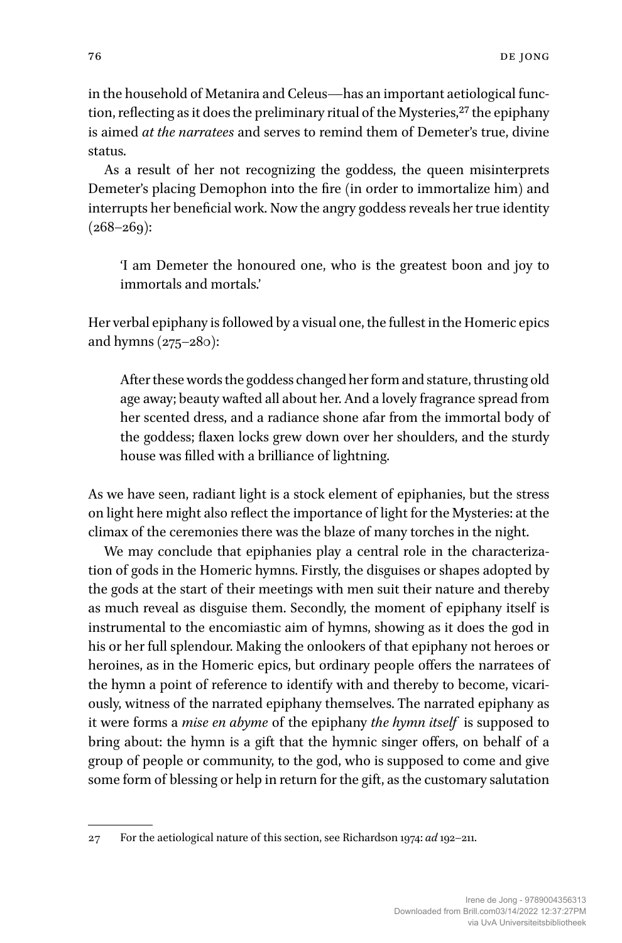in the household of Metanira and Celeus—has an important aetiological function, reflecting as it does the preliminary ritual of the Mysteries, $27$  the epiphany is aimed *at the narratees* and serves to remind them of Demeter's true, divine status.

As a result of her not recognizing the goddess, the queen misinterprets Demeter's placing Demophon into the fire (in order to immortalize him) and interrupts her beneficial work. Now the angry goddess reveals her true identity  $(268-269)$ :

'I am Demeter the honoured one, who is the greatest boon and joy to immortals and mortals.'

Her verbal epiphany is followed by a visual one, the fullest in the Homeric epics and hymns (275–280):

After these words the goddess changed her form and stature, thrusting old age away; beauty wafted all about her. And a lovely fragrance spread from her scented dress, and a radiance shone afar from the immortal body of the goddess; flaxen locks grew down over her shoulders, and the sturdy house was filled with a brilliance of lightning.

As we have seen, radiant light is a stock element of epiphanies, but the stress on light here might also reflect the importance of light for the Mysteries: at the climax of the ceremonies there was the blaze of many torches in the night.

We may conclude that epiphanies play a central role in the characterization of gods in the Homeric hymns. Firstly, the disguises or shapes adopted by the gods at the start of their meetings with men suit their nature and thereby as much reveal as disguise them. Secondly, the moment of epiphany itself is instrumental to the encomiastic aim of hymns, showing as it does the god in his or her full splendour. Making the onlookers of that epiphany not heroes or heroines, as in the Homeric epics, but ordinary people offers the narratees of the hymn a point of reference to identify with and thereby to become, vicariously, witness of the narrated epiphany themselves. The narrated epiphany as it were forms a *mise en abyme* of the epiphany *the hymn itself* is supposed to bring about: the hymn is a gift that the hymnic singer offers, on behalf of a group of people or community, to the god, who is supposed to come and give some form of blessing or help in return for the gift, as the customary salutation

<sup>27</sup> For the aetiological nature of this section, see Richardson 1974: *ad* 192–211.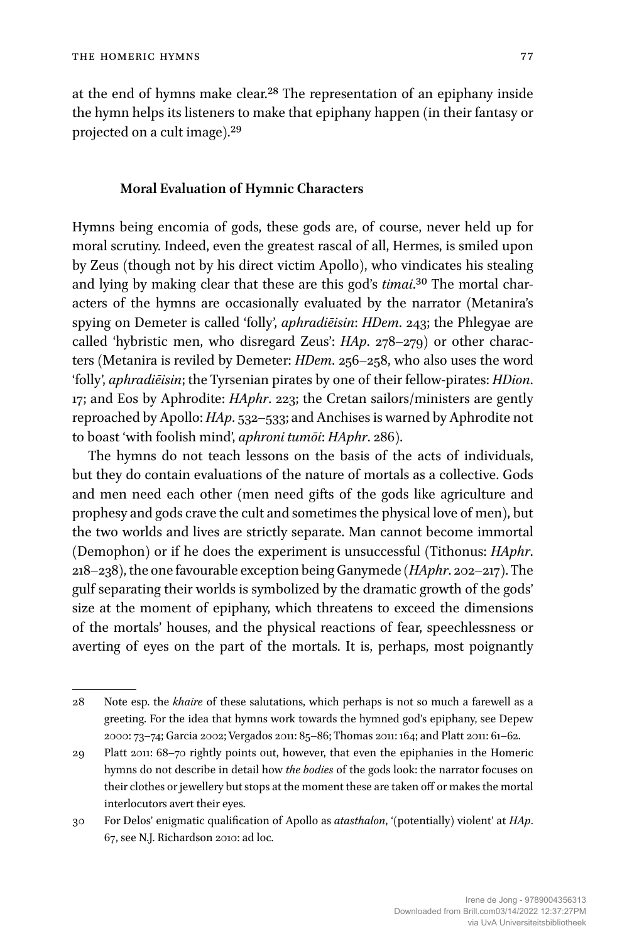at the end of hymns make clear.<sup>28</sup> The representation of an epiphany inside the hymn helps its listeners to make that epiphany happen (in their fantasy or projected on a cult image).29

#### **Moral Evaluation of Hymnic Characters**

Hymns being encomia of gods, these gods are, of course, never held up for moral scrutiny. Indeed, even the greatest rascal of all, Hermes, is smiled upon by Zeus (though not by his direct victim Apollo), who vindicates his stealing and lying by making clear that these are this god's *timai*.30 The mortal characters of the hymns are occasionally evaluated by the narrator (Metanira's spying on Demeter is called 'folly', *aphradiēisin*: *HDem*. 243; the Phlegyae are called 'hybristic men, who disregard Zeus': *HAp*. 278–279) or other characters (Metanira is reviled by Demeter: *HDem*. 256–258, who also uses the word 'folly', *aphradiēisin*; the Tyrsenian pirates by one of their fellow-pirates: *HDion*. 17; and Eos by Aphrodite: *HAphr*. 223; the Cretan sailors/ministers are gently reproached by Apollo: *HAp*. 532–533; and Anchises is warned by Aphrodite not to boast 'with foolish mind', *aphroni tumōi*: *HAphr*. 286).

The hymns do not teach lessons on the basis of the acts of individuals, but they do contain evaluations of the nature of mortals as a collective. Gods and men need each other (men need gifts of the gods like agriculture and prophesy and gods crave the cult and sometimes the physical love of men), but the two worlds and lives are strictly separate. Man cannot become immortal (Demophon) or if he does the experiment is unsuccessful (Tithonus: *HAphr*. 218–238), the one favourable exception being Ganymede (*HAphr*. 202–217). The gulf separating their worlds is symbolized by the dramatic growth of the gods' size at the moment of epiphany, which threatens to exceed the dimensions of the mortals' houses, and the physical reactions of fear, speechlessness or averting of eyes on the part of the mortals. It is, perhaps, most poignantly

<sup>28</sup> Note esp. the *khaire* of these salutations, which perhaps is not so much a farewell as a greeting. For the idea that hymns work towards the hymned god's epiphany, see Depew 2000: 73–74; Garcia 2002; Vergados 2011: 85–86; Thomas 2011: 164; and Platt 2011: 61–62.

<sup>29</sup> Platt 2011: 68–70 rightly points out, however, that even the epiphanies in the Homeric hymns do not describe in detail how *the bodies* of the gods look: the narrator focuses on their clothes or jewellery but stops at the moment these are taken off or makes the mortal interlocutors avert their eyes.

<sup>30</sup> For Delos' enigmatic qualification of Apollo as *atasthalon*, '(potentially) violent' at *HAp*. 67, see N.J. Richardson 2010: ad loc.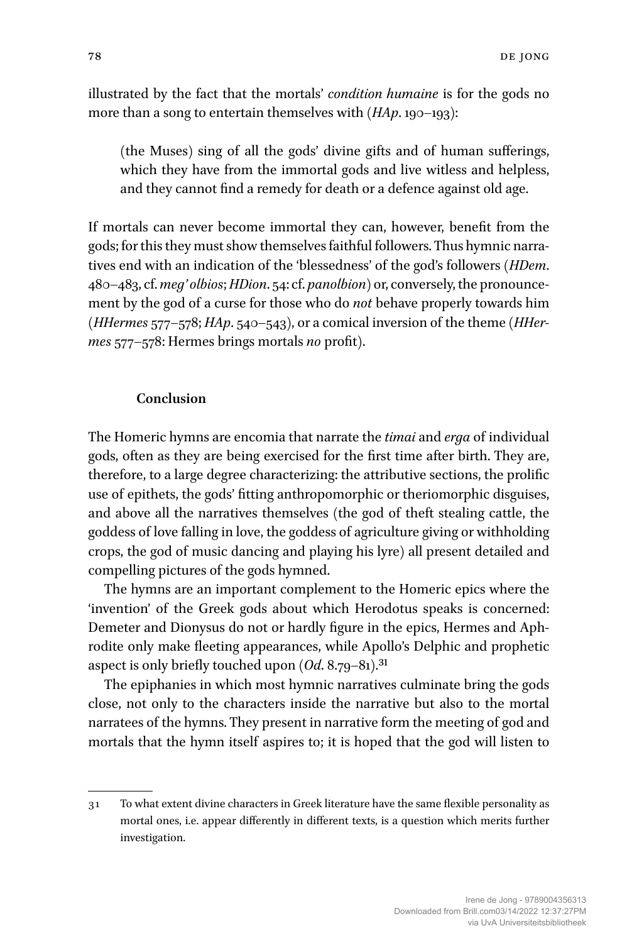illustrated by the fact that the mortals' *condition humaine* is for the gods no more than a song to entertain themselves with (*HAp*. 190–193):

(the Muses) sing of all the gods' divine gifts and of human sufferings, which they have from the immortal gods and live witless and helpless, and they cannot find a remedy for death or a defence against old age.

If mortals can never become immortal they can, however, benefit from the gods; for this they must show themselves faithful followers. Thus hymnic narratives end with an indication of the 'blessedness' of the god's followers (*HDem*. 480–483, cf.*meg' olbios*; *HDion*. 54: cf. *panolbion*) or, conversely, the pronouncement by the god of a curse for those who do *not* behave properly towards him (*HHermes* 577–578; *HAp*. 540–543), or a comical inversion of the theme (*HHermes* 577–578: Hermes brings mortals *no* profit).

#### **Conclusion**

The Homeric hymns are encomia that narrate the *timai* and *erga* of individual gods, often as they are being exercised for the first time after birth. They are, therefore, to a large degree characterizing: the attributive sections, the prolific use of epithets, the gods' fitting anthropomorphic or theriomorphic disguises, and above all the narratives themselves (the god of theft stealing cattle, the goddess of love falling in love, the goddess of agriculture giving or withholding crops, the god of music dancing and playing his lyre) all present detailed and compelling pictures of the gods hymned.

The hymns are an important complement to the Homeric epics where the 'invention' of the Greek gods about which Herodotus speaks is concerned: Demeter and Dionysus do not or hardly figure in the epics, Hermes and Aphrodite only make fleeting appearances, while Apollo's Delphic and prophetic aspect is only briefly touched upon (*Od*. 8.79–81).31

The epiphanies in which most hymnic narratives culminate bring the gods close, not only to the characters inside the narrative but also to the mortal narratees of the hymns. They present in narrative form the meeting of god and mortals that the hymn itself aspires to; it is hoped that the god will listen to

<sup>31</sup> To what extent divine characters in Greek literature have the same flexible personality as mortal ones, i.e. appear differently in different texts, is a question which merits further investigation.